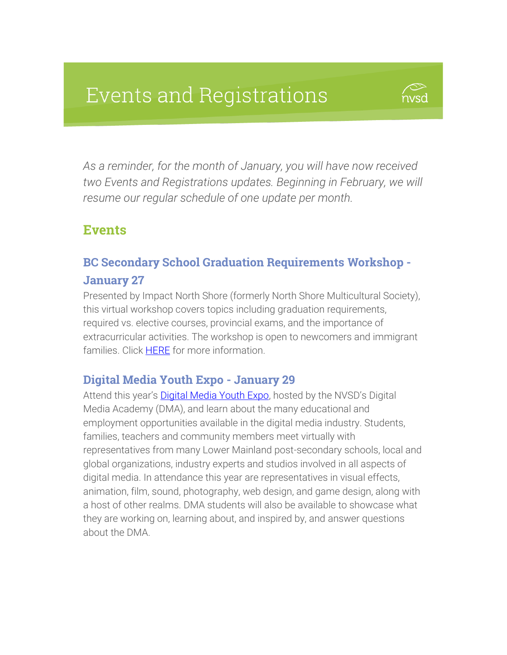# **Events and Registrations**



*As a reminder, for the month of January, you will have now received two Events and Registrations updates. Beginning in February, we will resume our regular schedule of one update per month.* 

## **Events**

### BC Secondary School Graduation Requirements Workshop - January 27

Presented by Impact North Shore (formerly North Shore Multicultural Society), this virtual workshop covers topics including graduation requirements, required vs. elective courses, provincial exams, and the importance of extracurricular activities. The workshop is open to newcomers and immigrant families. Click **HERE** for more information.

#### Digital Media Youth Expo - January 29

Attend this year's **[Digital Media Youth Expo](http://digitalmediayouthexpo.ca/)**, hosted by the NVSD's Digital Media Academy (DMA), and learn about the many educational and employment opportunities available in the digital media industry. Students, families, teachers and community members meet virtually with representatives from many Lower Mainland post-secondary schools, local and global organizations, industry experts and studios involved in all aspects of digital media. In attendance this year are representatives in visual effects, animation, film, sound, photography, web design, and game design, along with a host of other realms. DMA students will also be available to showcase what they are working on, learning about, and inspired by, and answer questions about the DMA.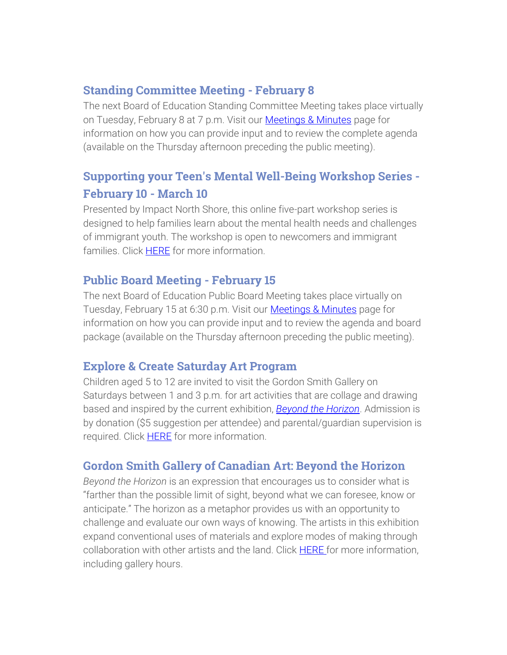### Standing Committee Meeting - February 8

The next Board of Education Standing Committee Meeting takes place virtually on Tuesday, February 8 at 7 p.m. Visit our **Meetings & Minutes** page for information on how you can provide input and to review the complete agenda (available on the Thursday afternoon preceding the public meeting).

# Supporting your Teen's Mental Well-Being Workshop Series - February 10 - March 10

Presented by Impact North Shore, this online five-part workshop series is designed to help families learn about the mental health needs and challenges of immigrant youth. The workshop is open to newcomers and immigrant families. Click [HERE](https://impactnorthshore.ca/our-workshops/supporting-your-teens-mental-well-being/) for more information.

### Public Board Meeting - February 15

The next Board of Education Public Board Meeting takes place virtually on Tuesday, February 15 at 6:30 p.m. Visit our [Meetings & Minutes](https://www.sd44.ca/Board/Meetings/Pages/default.aspx#/=) page for information on how you can provide input and to review the agenda and board package (available on the Thursday afternoon preceding the public meeting).

### Explore & Create Saturday Art Program

Children aged 5 to 12 are invited to visit the Gordon Smith Gallery on Saturdays between 1 and 3 p.m. for art activities that are collage and drawing based and inspired by the current exhibition, *[Beyond the Horizon](https://www.sd44.ca/school/artistsforkids/Visit/Exhibitions/Pages/default.aspx#/=)*. Admission is by donation (\$5 suggestion per attendee) and parental/guardian supervision is required. Click **HERE** for more information.

### Gordon Smith Gallery of Canadian Art: Beyond the Horizon

*Beyond the Horizon* is an expression that encourages us to consider what is "farther than the possible limit of sight, beyond what we can foresee, know or anticipate." The horizon as a metaphor provides us with an opportunity to challenge and evaluate our own ways of knowing. The artists in this exhibition expand conventional uses of materials and explore modes of making through collaboration with other artists and the land. Click **HERE** for more information, including gallery hours.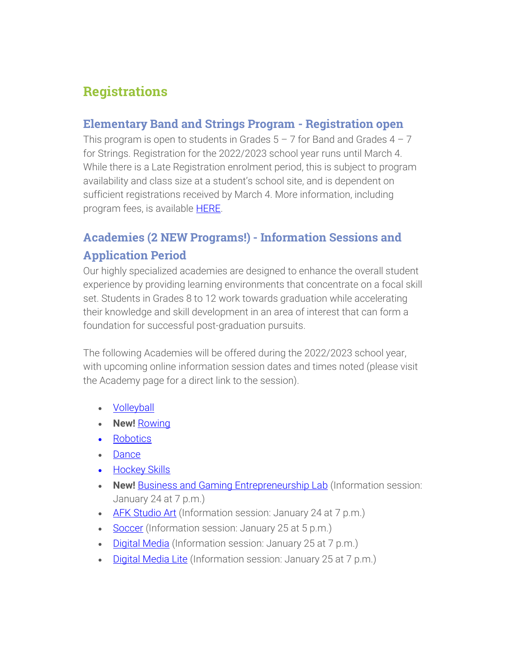# **Registrations**

#### Elementary Band and Strings Program - Registration open

This program is open to students in Grades  $5 - 7$  for Band and Grades  $4 - 7$ for Strings. Registration for the 2022/2023 school year runs until March 4. While there is a Late Registration enrolment period, this is subject to program availability and class size at a student's school site, and is dependent on sufficient registrations received by March 4. More information, including program fees, is available **HERE**.

## Academies (2 NEW Programs!) - Information Sessions and Application Period

Our highly specialized academies are designed to enhance the overall student experience by providing learning environments that concentrate on a focal skill set. Students in Grades 8 to 12 work towards graduation while accelerating their knowledge and skill development in an area of interest that can form a foundation for successful post-graduation pursuits.

The following Academies will be offered during the 2022/2023 school year, with upcoming online information session dates and times noted (please visit the Academy page for a direct link to the session).

- **[Volleyball](https://www.sd44.ca/ProgramsServices/Academies/VolleyballAcademy/Pages/default.aspx#/=)**
- **New!** [Rowing](https://www.sd44.ca/ProgramsServices/Academies/rowing/Pages/default.aspx#/=)
- [Robotics](https://www.sd44.ca/ProgramsServices/Academies/Robotics,%20Mechatronics%20%26%20Digital%20Fabrication/Pages/default.aspx#/=)
- [Dance](https://www.sd44.ca/ProgramsServices/Academies/Dance/Pages/default.aspx#/=)
- Hockey Skills
- **New!** [Business and Gaming Entrepreneurship Lab](https://www.sd44.ca/ProgramsServices/Academies/Gaming/Pages/default.aspx#/=) (Information session: January 24 at 7 p.m.)
- [AFK Studio Art](https://www.sd44.ca/ProgramsServices/Academies/AFKAcademy/Pages/default.aspx#/=) (Information session: January 24 at 7 p.m.)
- [Soccer](https://www.sd44.ca/ProgramsServices/Academies/SoccerAcademy/Pages/default.aspx#/=) (Information session: January 25 at 5 p.m.)
- [Digital Media](https://www.sd44.ca/ProgramsServices/Academies/DigitalMedia/Pages/default.aspx#/=) (Information session: January 25 at 7 p.m.)
- [Digital Media Lite](https://www.sd44.ca/ProgramsServices/Academies/Digital%20Media%20Academy%20Lite/Pages/default.aspx#/=) (Information session: January 25 at 7 p.m.)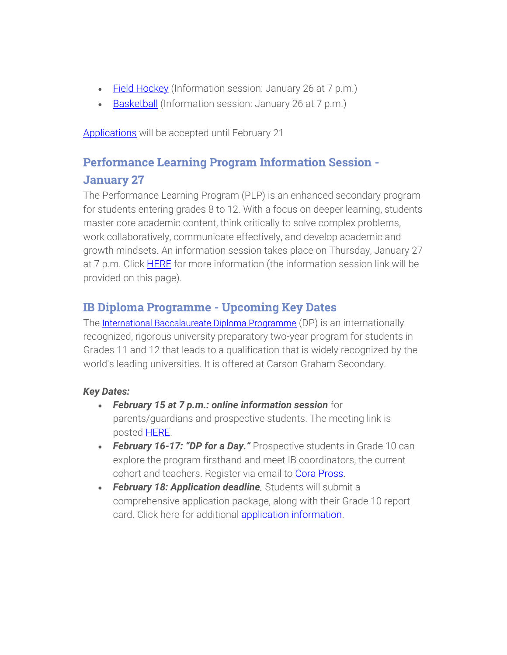- Eield Hockey (Information session: January 26 at 7 p.m.)
- [Basketball](https://www.sd44.ca/ProgramsServices/Academies/Basketball/Pages/default.aspx#/=) (Information session: January 26 at 7 p.m.)

[Applications](https://www.sd44.ca/ProgramsServices/Academies/applicationswithdrawals/Pages/default.aspx#/=) will be accepted until February 21

# Performance Learning Program Information Session - January 27

The Performance Learning Program (PLP) is an enhanced secondary program for students entering grades 8 to 12. With a focus on deeper learning, students master core academic content, think critically to solve complex problems, work collaboratively, communicate effectively, and develop academic and growth mindsets. An information session takes place on Thursday, January 27 at 7 p.m. Click [HERE](http://www.blog44.ca/plp/) for more information (the information session link will be provided on this page).

### IB Diploma Programme - Upcoming Key Dates

The [International Baccalaureate Diploma Programme](https://www.sd44.ca/school/carson/diplomaprogramme/Pages/Default.aspx#/=) (DP) is an internationally recognized, rigorous university preparatory two-year program for students in Grades 11 and 12 that leads to a qualification that is widely recognized by the world's leading universities. It is offered at Carson Graham Secondary.

#### *Key Dates:*

- *February 15 at 7 p.m.: online information session* for parents/guardians and prospective students. The meeting link is posted [HERE.](https://www.sd44.ca/school/carson/diplomaprogramme/applicationprocess/Pages/default.aspx#/=)
- *February 16-17: "DP for a Day."* Prospective students in Grade 10 can explore the program firsthand and meet IB coordinators, the current cohort and teachers. Register via email to [Cora Pross.](mailto:cpross@sd44.ca)
- *February 18: Application deadline.* Students will submit a comprehensive application package, along with their Grade 10 report card. Click here for additional [application information.](https://www.sd44.ca/school/carson/diplomaprogramme/applicationprocess/Pages/default.aspx#/=)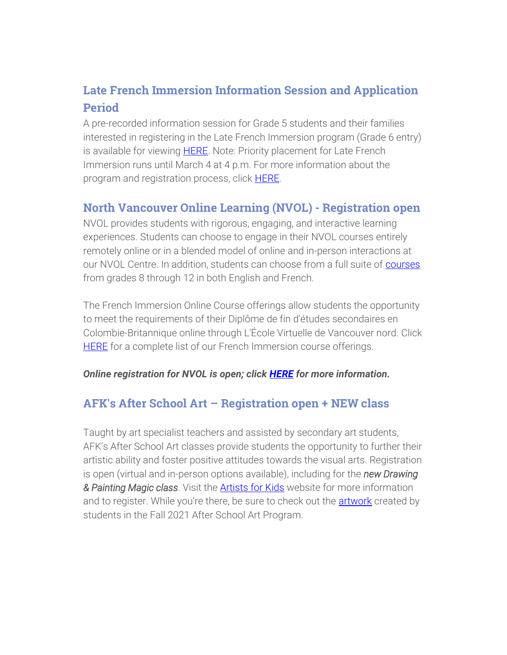# Late French Immersion Information Session and Application Period

A pre-recorded information session for Grade 5 students and their families interested in registering in the Late French Immersion program (Grade 6 entry) is available for viewing [HERE.](http://track.spe.schoolmessenger.com/f/a/WJIm1B-03zH3bjokv-N_Tg~~/AAAAAQA~/RgRjvfJFP0RYaHR0cHM6Ly93d3cuc2Q0NC5jYS9Qcm9ncmFtc1NlcnZpY2VzL0ZyZW5jaEltbWVyc2lvbi9MYXRlSW1tZXJzaW9uL1BhZ2VzL2RlZmF1bHQuYXNweCMvPVcHc2Nob29sbUIKYdXFvtxh17tMV1IVbGRhbGxhdmVjY2hpYUBzZDQ0LmNhWAQAAAAC) Note: Priority placement for Late French Immersion runs until March 4 at 4 p.m. For more information about the program and registration process, click [HERE.](https://www.sd44.ca/ProgramsServices/FrenchImmersion/LateImmersion/Documents/Grade%205%20LFI%20parent%20letter-2022.pdf)

### North Vancouver Online Learning (NVOL) - Registration open

NVOL provides students with rigorous, engaging, and interactive learning experiences. Students can choose to engage in their NVOL courses entirely remotely online or in a blended model of online and in-person interactions at our NVOL Centre. In addition, students can choose from a full suite of [courses](https://www.sd44.ca/school/onlinelearning/ProgramsServices/Courses/Pages/default.aspx#/=) from grades 8 through 12 in both English and French.

The French Immersion Online Course offerings allow students the opportunity to meet the requirements of their Diplôme de fin d'études secondaires en Colombie-Britannique online through L'École Virtuelle de Vancouver nord. Click [HERE](https://www.sd44.ca/school/onlinelearning/ProgramsServices/EcoleVirtuelle/Pages/default.aspx#/=) for a complete list of our French Immersion course offerings.

#### *Online registration for NVOL is open; click [HERE](https://www.sd44.ca/school/onlinelearning/About/registration/Pages/default.aspx#/=) for more information.*

### AFK's After School Art – Registration open + NEW class

Taught by art specialist teachers and assisted by secondary art students, AFK's After School Art classes provide students the opportunity to further their artistic ability and foster positive attitudes towards the visual arts. Registration is open (virtual and in-person options available), including for the *new Drawing & Painting Magic class*. Visit the [Artists for Kids](https://www.sd44.ca/school/artistsforkids/learn/afterschoolart/Pages/default.aspx#/=) website for more information and to register. While you're there, be sure to check out the [artwork](https://my44.sd44.ca/group/cyginsj/Pages/default.aspx#/=) created by students in the Fall 2021 After School Art Program.